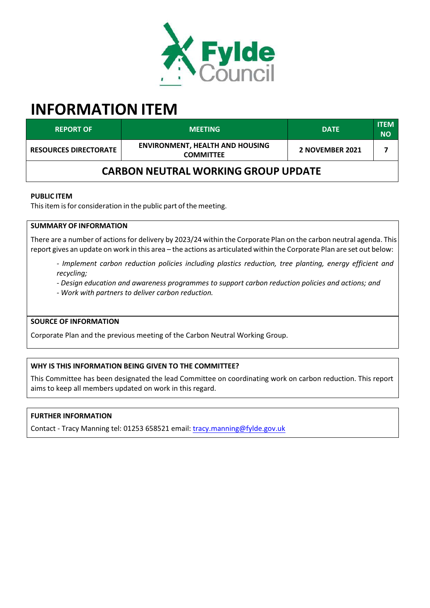

# **INFORMATION ITEM**

| <b>REPORT OF</b>                           | <b>MEETING</b>                                             | <b>DATE</b>     | <b>ITEM</b><br><b>NO</b> |  |
|--------------------------------------------|------------------------------------------------------------|-----------------|--------------------------|--|
| <b>RESOURCES DIRECTORATE</b>               | <b>ENVIRONMENT, HEALTH AND HOUSING</b><br><b>COMMITTEE</b> | 2 NOVEMBER 2021 |                          |  |
| <b>CARBON NEUTRAL WORKING GROUP UPDATE</b> |                                                            |                 |                          |  |

#### **PUBLIC ITEM**

This item is for consideration in the public part of the meeting.

# **SUMMARY OF INFORMATION**

There are a number of actions for delivery by 2023/24 within the Corporate Plan on the carbon neutral agenda. This report gives an update on work in this area – the actions as articulated within the Corporate Plan are set out below:

- *‐ Implement carbon reduction policies including plastics reduction, tree planting, energy efficient and recycling;*
- *‐ Design education and awareness programmes to support carbon reduction policies and actions; and*
- *‐ Work with partners to deliver carbon reduction.*

# **SOURCE OF INFORMATION**

Corporate Plan and the previous meeting of the Carbon Neutral Working Group.

#### **WHY IS THIS INFORMATION BEING GIVEN TO THE COMMITTEE?**

This Committee has been designated the lead Committee on coordinating work on carbon reduction. This report aims to keep all members updated on work in this regard.

#### **FURTHER INFORMATION**

Contact ‐ Tracy Manning tel: 01253 658521 email: [tracy.manning@fylde.gov.uk](mailto:tracy.manning@fylde.gov.uk)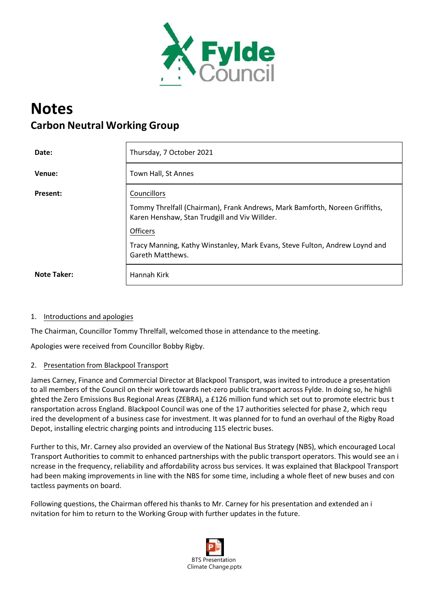

# **Notes Carbon Neutral Working Group**

| Date:              | Thursday, 7 October 2021                                                                                                     |  |
|--------------------|------------------------------------------------------------------------------------------------------------------------------|--|
| Venue:             | Town Hall, St Annes                                                                                                          |  |
| <b>Present:</b>    | Councillors                                                                                                                  |  |
|                    | Tommy Threlfall (Chairman), Frank Andrews, Mark Bamforth, Noreen Griffiths,<br>Karen Henshaw, Stan Trudgill and Viv Willder. |  |
|                    | <b>Officers</b>                                                                                                              |  |
|                    | Tracy Manning, Kathy Winstanley, Mark Evans, Steve Fulton, Andrew Loynd and<br>Gareth Matthews.                              |  |
| <b>Note Taker:</b> | Hannah Kirk                                                                                                                  |  |

#### 1. Introductions and apologies

The Chairman, Councillor Tommy Threlfall, welcomed those in attendance to the meeting.

Apologies were received from Councillor Bobby Rigby.

#### 2. Presentation from Blackpool Transport

James Carney, Finance and Commercial Director at Blackpool Transport, was invited to introduce a presentation to all members of the Council on their work towards net-zero public transport across Fylde. In doing so, he highli ghted the Zero Emissions Bus Regional Areas (ZEBRA), a £126 million fund which set out to promote electric bus t ransportation across England. Blackpool Council was one of the 17 authorities selected for phase 2, which requ ired the development of a business case for investment. It was planned for to fund an overhaul of the Rigby Road Depot, installing electric charging points and introducing 115 electric buses.

Further to this, Mr. Carney also provided an overview of the National Bus Strategy (NBS), which encouraged Local Transport Authorities to commit to enhanced partnerships with the public transport operators. This would see an i ncrease in the frequency, reliability and affordability across bus services. It was explained that Blackpool Transport had been making improvements in line with the NBS for some time, including a whole fleet of new buses and con tactless payments on board.

Following questions, the Chairman offered his thanks to Mr. Carney for his presentation and extended an i nvitation for him to return to the Working Group with further updates in the future.